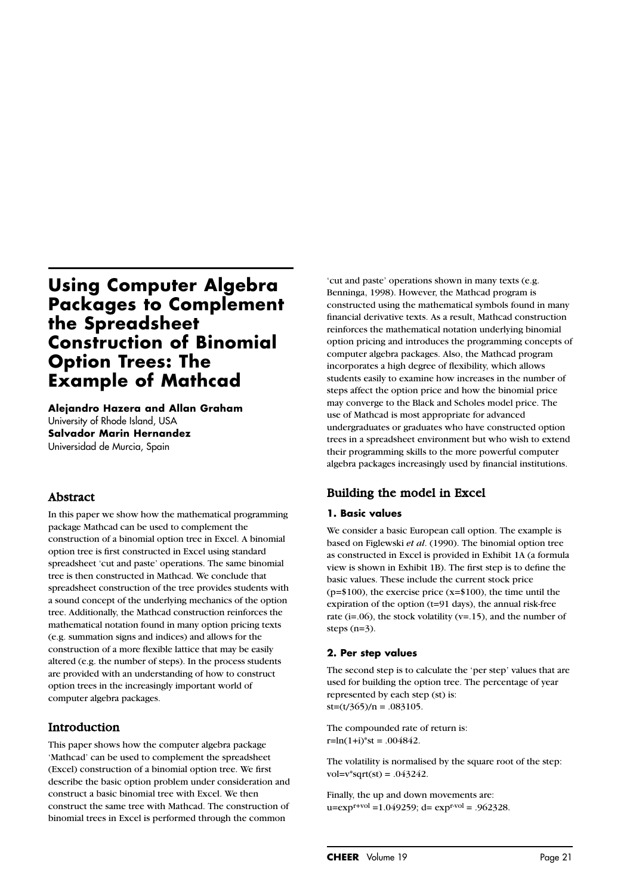# **Using Computer Algebra Packages to Complement the Spreadsheet Construction of Binomial Option Trees: The Example of Mathcad**

**Alejandro Hazera and Allan Graham**  University of Rhode Island, USA **Salvador Marin Hernandez** Universidad de Murcia, Spain

# Abstract

In this paper we show how the mathematical programming package Mathcad can be used to complement the construction of a binomial option tree in Excel. A binomial option tree is first constructed in Excel using standard spreadsheet 'cut and paste' operations. The same binomial tree is then constructed in Mathcad. We conclude that spreadsheet construction of the tree provides students with a sound concept of the underlying mechanics of the option tree. Additionally, the Mathcad construction reinforces the mathematical notation found in many option pricing texts (e.g. summation signs and indices) and allows for the construction of a more flexible lattice that may be easily altered (e.g. the number of steps). In the process students are provided with an understanding of how to construct option trees in the increasingly important world of computer algebra packages.

# Introduction

This paper shows how the computer algebra package 'Mathcad' can be used to complement the spreadsheet (Excel) construction of a binomial option tree. We first describe the basic option problem under consideration and construct a basic binomial tree with Excel. We then construct the same tree with Mathcad. The construction of binomial trees in Excel is performed through the common

'cut and paste' operations shown in many texts (e.g. Benninga, 1998). However, the Mathcad program is constructed using the mathematical symbols found in many financial derivative texts. As a result, Mathcad construction reinforces the mathematical notation underlying binomial option pricing and introduces the programming concepts of computer algebra packages. Also, the Mathcad program incorporates a high degree of flexibility, which allows students easily to examine how increases in the number of steps affect the option price and how the binomial price may converge to the Black and Scholes model price. The use of Mathcad is most appropriate for advanced undergraduates or graduates who have constructed option trees in a spreadsheet environment but who wish to extend their programming skills to the more powerful computer algebra packages increasingly used by financial institutions.

# Building the model in Excel

### **1. Basic values**

We consider a basic European call option. The example is based on Figlewski *et al*. (1990). The binomial option tree as constructed in Excel is provided in Exhibit 1A (a formula view is shown in Exhibit 1B). The first step is to define the basic values. These include the current stock price  $(p=$100)$ , the exercise price  $(x=$100)$ , the time until the expiration of the option (t=91 days), the annual risk-free rate (i=.06), the stock volatility ( $v=$ .15), and the number of steps (n=3).

#### **2. Per step values**

The second step is to calculate the 'per step' values that are used for building the option tree. The percentage of year represented by each step (st) is:  $st=(t/365)/n = .083105$ .

The compounded rate of return is:  $r=ln(1+i)*st = .004842$ .

The volatility is normalised by the square root of the step:  $vol=v*sqrt(s) = .043242$ .

Finally, the up and down movements are:  $u=exp<sup>r+vol</sup> = 1.049259$ ; d=  $exp<sup>r-vol</sup> = .962328$ .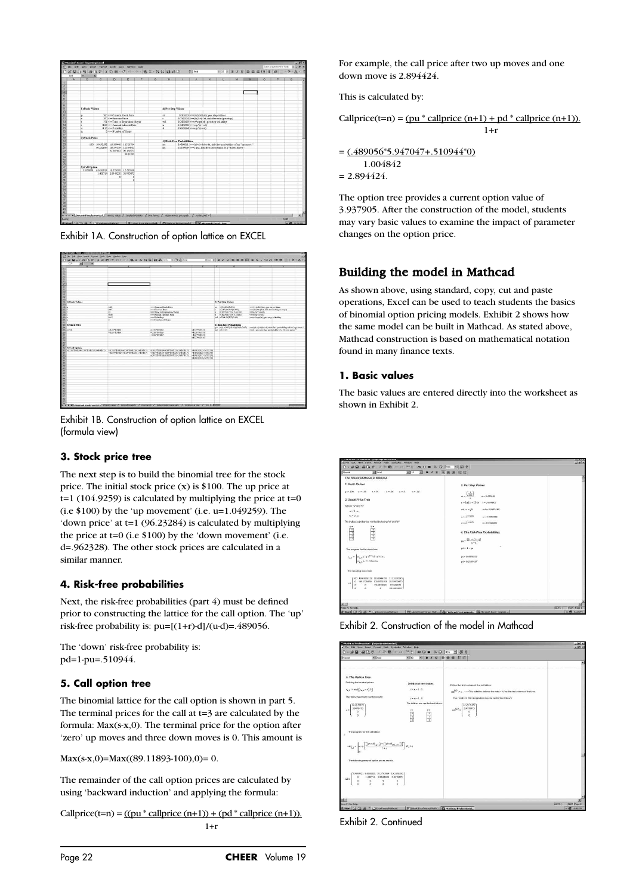

Exhibit 1A. Construction of option lattice on EXCEL



Exhibit 1B. Construction of option lattice on EXCEL (formula view)

### **3. Stock price tree**

The next step is to build the binomial tree for the stock price. The initial stock price  $(x)$  is \$100. The up price at  $t=1$  (104.9259) is calculated by multiplying the price at  $t=0$ (i.e  $$100$ ) by the 'up movement' (i.e. u=1.049259). The 'down price' at t=1 (96.23284) is calculated by multiplying the price at  $t=0$  (i.e  $$100$ ) by the 'down movement' (i.e. d=.962328). The other stock prices are calculated in a similar manner.

### **4. Risk-free probabilities**

Next, the risk-free probabilities (part 4) must be defined prior to constructing the lattice for the call option. The 'up' risk-free probability is:  $pu=[(1+r)-d]/(u-d)=.489056$ .

The 'down' risk-free probability is: pd=1-pu=.510944.

### **5. Call option tree**

The binomial lattice for the call option is shown in part 5. The terminal prices for the call at t=3 are calculated by the formula: Max(s-x,0). The terminal price for the option after 'zero' up moves and three down moves is 0. This amount is

 $Max(s-x,0)=Max((89.11893-100),0)=0.$ 

The remainder of the call option prices are calculated by using 'backward induction' and applying the formula:

Callprice(t=n) =  $((pu * callprice (n+1)) + (pd * callprice (n+1)).$  $1+r$ 

For example, the call price after two up moves and one down move is 2.894424.

This is calculated by:

```
Callprice(t=n) = (pu * \text{calprice}(n+1) + pd * \text{calprice}(n+1)).1+r
```

```
= (.489056*5.947047+.510944*0)
```
1.004842  $= 2.894424.$ 

The option tree provides a current option value of 3.937905. After the construction of the model, students may vary basic values to examine the impact of parameter changes on the option price.

# Building the model in Mathcad

As shown above, using standard, copy, cut and paste operations, Excel can be used to teach students the basics of binomial option pricing models. Exhibit 2 shows how the same model can be built in Mathcad. As stated above, Mathcad construction is based on mathematical notation found in many finance texts.

### **1. Basic values**

The basic values are entered directly into the worksheet as shown in Exhibit 2.

| 18.1 PRODUCED A STREET MAIL STREET WAS CITED FOR ASSAULT.<br>al rie Edt View Irpert Format Math Symboko Vindow Heb                                                          |            |                                       |                                                                                         | $= 141 \times$                               |
|-----------------------------------------------------------------------------------------------------------------------------------------------------------------------------|------------|---------------------------------------|-----------------------------------------------------------------------------------------|----------------------------------------------|
| <b>XI</b> Adul<br>Nomal                                                                                                                                                     | 36 10      | 图 8 / 9 单 单 串 挂 挂                     |                                                                                         |                                              |
| The Binomial Model in Mathcad                                                                                                                                               |            |                                       |                                                                                         |                                              |
| 1. Flash: Mafues                                                                                                                                                            |            |                                       | 2. Per Step Values                                                                      |                                              |
| р. 200 км 100 г. н. 91 г. н. 95 км 3.                                                                                                                                       | $v = 15$   | $\left(\frac{1}{205}\right)$          | $u = 0$ (Which                                                                          |                                              |
| 3. Stock Price Tree                                                                                                                                                         |            |                                       | $v = (hd(1 + i))$ $a = -0.001812$                                                       |                                              |
| Indole "a" and "tr"<br>$a = 0.46$                                                                                                                                           |            | and $\sim v \cdot \sqrt{st}$          | $m1 = 0.0422419$                                                                        |                                              |
| $h = 0.1$                                                                                                                                                                   |            | derel,                                | $n = 1.0492592$                                                                         |                                              |
| The indices can thou be verified by typing "a" and "a"                                                                                                                      |            | $d = e^{(x - y_0)}$                   | $4 - 0.9623284$                                                                         |                                              |
| ۰.<br>$\frac{1}{2}$<br>$\frac{1}{2}$                                                                                                                                        |            | $m = \frac{[(1 + x) - 4]}{x - 4}$     | 4. The Risk-Free Probabilities.                                                         |                                              |
| The aragram for the otock tree.                                                                                                                                             |            | $p4 = 1 - pq$                         |                                                                                         |                                              |
| $t_{\alpha,\lambda} = \begin{bmatrix} u_{\alpha,\lambda} + \mu v^2 & 0 & \text{if } \lambda \geq 0 \\ u_{\alpha,\lambda} + 0 & \text{otherwise} \end{bmatrix}$              |            | $p_1 = 0.4890561$<br>$p4 = 0.5109439$ |                                                                                         |                                              |
| The resulting stock tree:<br>100 104.9239156 100.0944781 115.5176395<br>94 2326459 100 9751928 103 9470475<br>$\ddot{\rm{o}}$<br>$\epsilon$<br>$\alpha$<br>ö<br>92,602,0025 | 97.169325  |                                       |                                                                                         |                                              |
| $\alpha$<br>ö<br>$\circ$<br>33,95                                                                                                                                           | 69.1189293 |                                       |                                                                                         |                                              |
| Proce #1 for help.<br>if start ( C) ( C) ( <sup>th</sup> C) Excellent contaction of                                                                                         |            |                                       | [ [9] Lidest Excel Versus Midth   22 Mathcad Professional   22 Morrooft Excel - bosents | <b>JAUTO PASK Page 1</b><br><b>HD SEZERS</b> |

Exhibit 2. Construction of the model in Mathcad

| Mathcad Professional - [bogmapmlemented]<br>al File Edit New Insert Format Moth Symbolics Window Help | - 613<br>161x                                                                                                                                                                         |                                                                                                                                                                                                                                                                                                                                                                                                                                                                                                                                                                                                                                                                                                                                                                        |                                                                                                 |                     |
|-------------------------------------------------------------------------------------------------------|---------------------------------------------------------------------------------------------------------------------------------------------------------------------------------------|------------------------------------------------------------------------------------------------------------------------------------------------------------------------------------------------------------------------------------------------------------------------------------------------------------------------------------------------------------------------------------------------------------------------------------------------------------------------------------------------------------------------------------------------------------------------------------------------------------------------------------------------------------------------------------------------------------------------------------------------------------------------|-------------------------------------------------------------------------------------------------|---------------------|
| Morgal                                                                                                | <b>Ell</b> Assi                                                                                                                                                                       | $0 \cdot \mathcal{B} \boxtimes \mathcal{B} \otimes \mathbb{Q} \neq \emptyset \Rightarrow \mathcal{B} \Rightarrow \mathcal{B} \Rightarrow \mathcal{B} \Rightarrow \mathcal{B} \Rightarrow \mathcal{B} \Rightarrow \mathcal{B} \Rightarrow \mathcal{B} \Rightarrow \mathcal{B} \Rightarrow \mathcal{B} \Rightarrow \mathcal{B} \Rightarrow \mathcal{B} \Rightarrow \mathcal{B} \Rightarrow \mathcal{B} \Rightarrow \mathcal{B} \Rightarrow \mathcal{B} \Rightarrow \mathcal{B} \Rightarrow \mathcal{B} \Rightarrow \mathcal{B} \Rightarrow \mathcal{B} \Rightarrow \mathcal{B} \Rightarrow \mathcal{B} \Rightarrow \mathcal{B} \Rightarrow \mathcal{B} \Rightarrow \$<br>$\mathbb{E}[v]$ $\mathbb{E}[v]$ $\mathbb{E}[v]$ $\mathbb{E}[v]$ $\mathbb{E}[v]$ $\mathbb{E}[v]$ |                                                                                                 |                     |
|                                                                                                       |                                                                                                                                                                                       |                                                                                                                                                                                                                                                                                                                                                                                                                                                                                                                                                                                                                                                                                                                                                                        |                                                                                                 |                     |
| 5. The Option Tree                                                                                    |                                                                                                                                                                                       |                                                                                                                                                                                                                                                                                                                                                                                                                                                                                                                                                                                                                                                                                                                                                                        |                                                                                                 |                     |
| Defining the terminal prices:                                                                         |                                                                                                                                                                                       | Detedion of new indices.                                                                                                                                                                                                                                                                                                                                                                                                                                                                                                                                                                                                                                                                                                                                               | Define the final column of the call lattice:                                                    |                     |
| $n_{\rm x,0} = \max\{ (n_{\rm x,0} - n) . 0 \}$                                                       |                                                                                                                                                                                       | $i = n - 1.0$                                                                                                                                                                                                                                                                                                                                                                                                                                                                                                                                                                                                                                                                                                                                                          | and <sup>60</sup> and in writing nations defines the matrix "c" as the last column of the free. |                     |
|                                                                                                       | The following column vector results:                                                                                                                                                  | $1 - n - 1.0$                                                                                                                                                                                                                                                                                                                                                                                                                                                                                                                                                                                                                                                                                                                                                          | The results of this designation may be verified as follows:                                     |                     |
| (15.5176395)                                                                                          |                                                                                                                                                                                       | The indices are verified as infrast-                                                                                                                                                                                                                                                                                                                                                                                                                                                                                                                                                                                                                                                                                                                                   | (15.5) 76395                                                                                    |                     |
| $\begin{array}{c} 5.947042 \\ 0 \\ 0 \\ 0 \end{array}$<br>i n                                         |                                                                                                                                                                                       | $+ 25$                                                                                                                                                                                                                                                                                                                                                                                                                                                                                                                                                                                                                                                                                                                                                                 | $\frac{1}{\sin^2\theta}\begin{bmatrix} 1 & 0 \\ 0 & 0 \\ 0 & 0 \end{bmatrix}$                   |                     |
|                                                                                                       |                                                                                                                                                                                       | Ġ<br>$\frac{1}{\sigma}$                                                                                                                                                                                                                                                                                                                                                                                                                                                                                                                                                                                                                                                                                                                                                |                                                                                                 |                     |
|                                                                                                       |                                                                                                                                                                                       |                                                                                                                                                                                                                                                                                                                                                                                                                                                                                                                                                                                                                                                                                                                                                                        |                                                                                                 |                     |
|                                                                                                       |                                                                                                                                                                                       |                                                                                                                                                                                                                                                                                                                                                                                                                                                                                                                                                                                                                                                                                                                                                                        |                                                                                                 |                     |
|                                                                                                       | The program for the call lettice:                                                                                                                                                     |                                                                                                                                                                                                                                                                                                                                                                                                                                                                                                                                                                                                                                                                                                                                                                        |                                                                                                 |                     |
|                                                                                                       |                                                                                                                                                                                       |                                                                                                                                                                                                                                                                                                                                                                                                                                                                                                                                                                                                                                                                                                                                                                        |                                                                                                 |                     |
|                                                                                                       | $\mathrm{col}_{i,j} = \left[\alpha \in \left[\frac{\left(\mathrm{pred}_{i,j+1}\right) + \left(\left(\mathrm{pred}_{i+1,j+1}\right)\right)\right]}{1+\epsilon}\right] \times j \geq 1$ |                                                                                                                                                                                                                                                                                                                                                                                                                                                                                                                                                                                                                                                                                                                                                                        |                                                                                                 |                     |
|                                                                                                       |                                                                                                                                                                                       |                                                                                                                                                                                                                                                                                                                                                                                                                                                                                                                                                                                                                                                                                                                                                                        |                                                                                                 |                     |
|                                                                                                       | The following array of option prices results:                                                                                                                                         |                                                                                                                                                                                                                                                                                                                                                                                                                                                                                                                                                                                                                                                                                                                                                                        |                                                                                                 |                     |
|                                                                                                       |                                                                                                                                                                                       |                                                                                                                                                                                                                                                                                                                                                                                                                                                                                                                                                                                                                                                                                                                                                                        |                                                                                                 |                     |
|                                                                                                       | (3,93780) 6,6192621 10,5763886 15.5176395                                                                                                                                             |                                                                                                                                                                                                                                                                                                                                                                                                                                                                                                                                                                                                                                                                                                                                                                        |                                                                                                 |                     |
| $^{\circ}$<br>out =<br>$\alpha$                                                                       | 1.408714 2.8944238 5.9470473                                                                                                                                                          |                                                                                                                                                                                                                                                                                                                                                                                                                                                                                                                                                                                                                                                                                                                                                                        |                                                                                                 |                     |
| ö                                                                                                     | $\frac{1}{a}$                                                                                                                                                                         |                                                                                                                                                                                                                                                                                                                                                                                                                                                                                                                                                                                                                                                                                                                                                                        |                                                                                                 |                     |
|                                                                                                       |                                                                                                                                                                                       |                                                                                                                                                                                                                                                                                                                                                                                                                                                                                                                                                                                                                                                                                                                                                                        |                                                                                                 |                     |
| 过出                                                                                                    |                                                                                                                                                                                       |                                                                                                                                                                                                                                                                                                                                                                                                                                                                                                                                                                                                                                                                                                                                                                        |                                                                                                 |                     |
| Year #1 for help.                                                                                     |                                                                                                                                                                                       |                                                                                                                                                                                                                                                                                                                                                                                                                                                                                                                                                                                                                                                                                                                                                                        |                                                                                                 | William Bank Report |
|                                                                                                       | disposition of the main construction                                                                                                                                                  | Witness trailways Met. Protection of Replacement                                                                                                                                                                                                                                                                                                                                                                                                                                                                                                                                                                                                                                                                                                                       |                                                                                                 | or off a sound      |